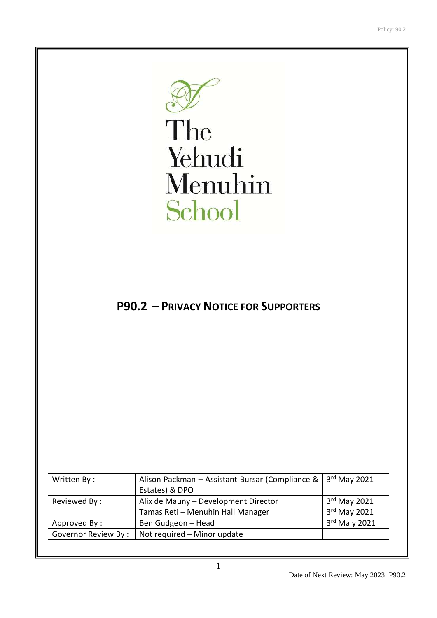

The Yehudi Menuhin School

# **P90.2 – PRIVACY NOTICE FOR SUPPORTERS**

| Written By:                | Alison Packman - Assistant Bursar (Compliance &<br>$3rd$ May 2021 |                |
|----------------------------|-------------------------------------------------------------------|----------------|
|                            | Estates) & DPO                                                    |                |
| Reviewed By:               | Alix de Mauny - Development Director                              | $3rd$ May 2021 |
|                            | Tamas Reti - Menuhin Hall Manager                                 | 3rd May 2021   |
| Approved By:               | Ben Gudgeon - Head                                                | 3rd Maly 2021  |
| <b>Governor Review By:</b> | Not required - Minor update                                       |                |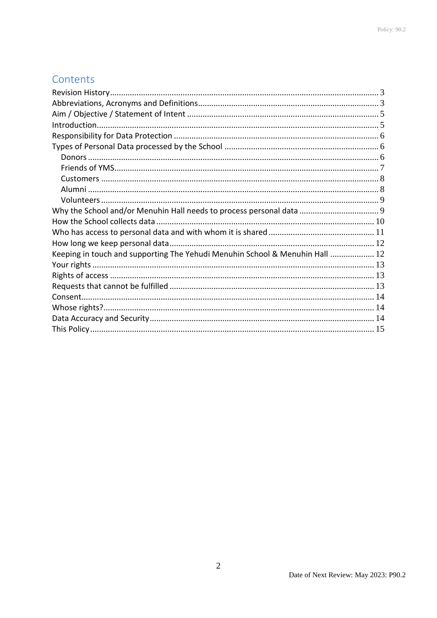# Contents

| Keeping in touch and supporting The Yehudi Menuhin School & Menuhin Hall  12 |  |
|------------------------------------------------------------------------------|--|
|                                                                              |  |
|                                                                              |  |
|                                                                              |  |
|                                                                              |  |
|                                                                              |  |
|                                                                              |  |
|                                                                              |  |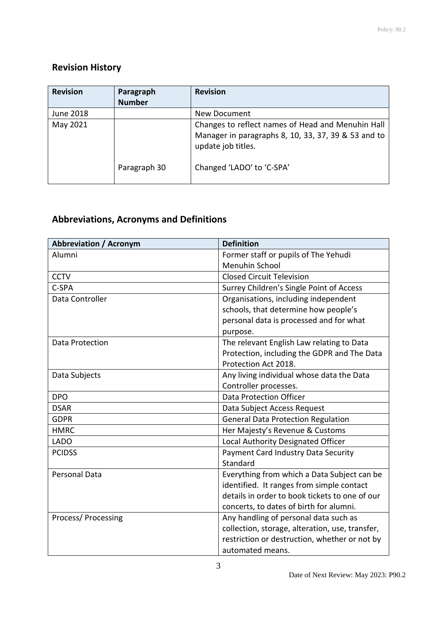# <span id="page-2-0"></span>**Revision History**

| <b>Revision</b> | Paragraph<br><b>Number</b> | <b>Revision</b>                                                                                                                |
|-----------------|----------------------------|--------------------------------------------------------------------------------------------------------------------------------|
| June 2018       |                            | New Document                                                                                                                   |
| May 2021        |                            | Changes to reflect names of Head and Menuhin Hall<br>Manager in paragraphs 8, 10, 33, 37, 39 & 53 and to<br>update job titles. |
|                 | Paragraph 30               | Changed 'LADO' to 'C-SPA'                                                                                                      |

# <span id="page-2-1"></span>**Abbreviations, Acronyms and Definitions**

| <b>Abbreviation / Acronym</b> | <b>Definition</b>                               |
|-------------------------------|-------------------------------------------------|
| Alumni                        | Former staff or pupils of The Yehudi            |
|                               | <b>Menuhin School</b>                           |
| <b>CCTV</b>                   | <b>Closed Circuit Television</b>                |
| C-SPA                         | Surrey Children's Single Point of Access        |
| Data Controller               | Organisations, including independent            |
|                               | schools, that determine how people's            |
|                               | personal data is processed and for what         |
|                               | purpose.                                        |
| <b>Data Protection</b>        | The relevant English Law relating to Data       |
|                               | Protection, including the GDPR and The Data     |
|                               | Protection Act 2018.                            |
| Data Subjects                 | Any living individual whose data the Data       |
|                               | Controller processes.                           |
| <b>DPO</b>                    | <b>Data Protection Officer</b>                  |
| <b>DSAR</b>                   | Data Subject Access Request                     |
| <b>GDPR</b>                   | <b>General Data Protection Regulation</b>       |
| <b>HMRC</b>                   | Her Majesty's Revenue & Customs                 |
| <b>LADO</b>                   | Local Authority Designated Officer              |
| <b>PCIDSS</b>                 | Payment Card Industry Data Security             |
|                               | Standard                                        |
| <b>Personal Data</b>          | Everything from which a Data Subject can be     |
|                               | identified. It ranges from simple contact       |
|                               | details in order to book tickets to one of our  |
|                               | concerts, to dates of birth for alumni.         |
| Process/Processing            | Any handling of personal data such as           |
|                               | collection, storage, alteration, use, transfer, |
|                               | restriction or destruction, whether or not by   |
|                               | automated means.                                |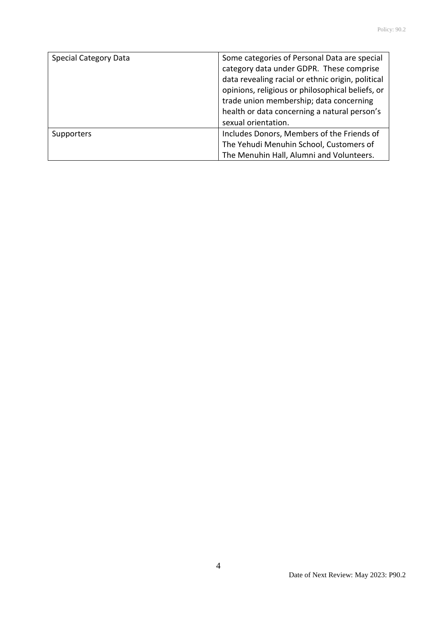| <b>Special Category Data</b> | Some categories of Personal Data are special<br>category data under GDPR. These comprise<br>data revealing racial or ethnic origin, political<br>opinions, religious or philosophical beliefs, or<br>trade union membership; data concerning<br>health or data concerning a natural person's |
|------------------------------|----------------------------------------------------------------------------------------------------------------------------------------------------------------------------------------------------------------------------------------------------------------------------------------------|
|                              | sexual orientation.                                                                                                                                                                                                                                                                          |
| Supporters                   | Includes Donors, Members of the Friends of                                                                                                                                                                                                                                                   |
|                              | The Yehudi Menuhin School, Customers of                                                                                                                                                                                                                                                      |
|                              | The Menuhin Hall, Alumni and Volunteers.                                                                                                                                                                                                                                                     |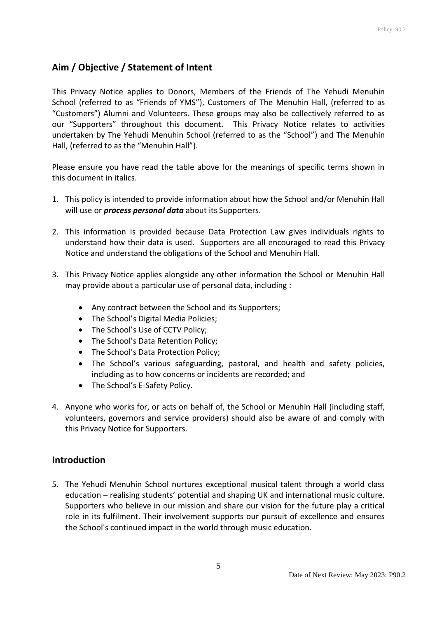# <span id="page-4-0"></span>**Aim / Objective / Statement of Intent**

This Privacy Notice applies to Donors, Members of the Friends of The Yehudi Menuhin School (referred to as "Friends of YMS"), Customers of The Menuhin Hall, (referred to as "Customers") Alumni and Volunteers. These groups may also be collectively referred to as our "Supporters" throughout this document. This Privacy Notice relates to activities undertaken by The Yehudi Menuhin School (referred to as the "School") and The Menuhin Hall, (referred to as the "Menuhin Hall").

Please ensure you have read the table above for the meanings of specific terms shown in this document in italics.

- 1. This policy is intended to provide information about how the School and/or Menuhin Hall will use or *process personal data* about its Supporters.
- 2. This information is provided because Data Protection Law gives individuals rights to understand how their data is used. Supporters are all encouraged to read this Privacy Notice and understand the obligations of the School and Menuhin Hall.
- 3. This Privacy Notice applies alongside any other information the School or Menuhin Hall may provide about a particular use of personal data, including :
	- Any contract between the School and its Supporters;
	- The School's Digital Media Policies;
	- The School's Use of CCTV Policy;
	- The School's Data Retention Policy;
	- The School's Data Protection Policy:
	- The School's various safeguarding, pastoral, and health and safety policies, including as to how concerns or incidents are recorded; and
	- The School's E-Safety Policy.
- 4. Anyone who works for, or acts on behalf of, the School or Menuhin Hall (including staff, volunteers, governors and service providers) should also be aware of and comply with this Privacy Notice for Supporters.

### <span id="page-4-1"></span>**Introduction**

5. The Yehudi Menuhin School nurtures exceptional musical talent through a world class education – realising students' potential and shaping UK and international music culture. Supporters who believe in our mission and share our vision for the future play a critical role in its fulfilment. Their involvement supports our pursuit of excellence and ensures the School's continued impact in the world through music education.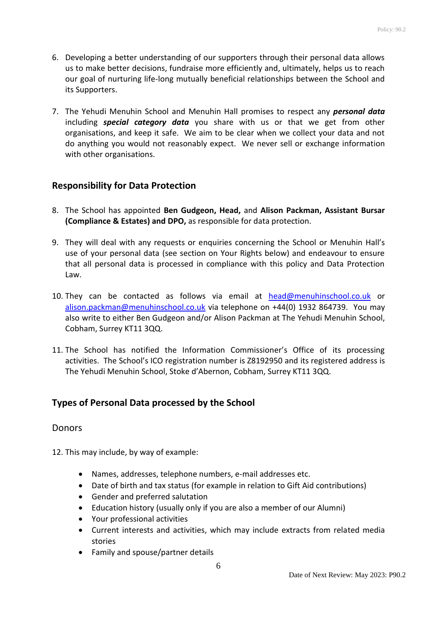- 6. Developing a better understanding of our supporters through their personal data allows us to make better decisions, fundraise more efficiently and, ultimately, helps us to reach our goal of nurturing life-long mutually beneficial relationships between the School and its Supporters.
- 7. The Yehudi Menuhin School and Menuhin Hall promises to respect any *personal data* including *special category data* you share with us or that we get from other organisations, and keep it safe. We aim to be clear when we collect your data and not do anything you would not reasonably expect. We never sell or exchange information with other organisations.

## <span id="page-5-0"></span>**Responsibility for Data Protection**

- 8. The School has appointed **Ben Gudgeon, Head,** and **Alison Packman, Assistant Bursar (Compliance & Estates) and DPO,** as responsible for data protection.
- 9. They will deal with any requests or enquiries concerning the School or Menuhin Hall's use of your personal data (see section on Your Rights below) and endeavour to ensure that all personal data is processed in compliance with this policy and Data Protection Law.
- 10. They can be contacted as follows via email at [head@menuhinschool.co.uk](mailto:head@menuhinschool.co.uk) or [alison.packman@menuhinschool.co.uk](mailto:alison.packman@menuhinschool.co.uk) via telephone on +44(0) 1932 864739. You may also write to either Ben Gudgeon and/or Alison Packman at The Yehudi Menuhin School, Cobham, Surrey KT11 3QQ.
- 11. The School has notified the Information Commissioner's Office of its processing activities. The School's ICO registration number is Z8192950 and its registered address is The Yehudi Menuhin School, Stoke d'Abernon, Cobham, Surrey KT11 3QQ.

## <span id="page-5-1"></span>**Types of Personal Data processed by the School**

### <span id="page-5-2"></span>**Donors**

12. This may include, by way of example:

- Names, addresses, telephone numbers, e-mail addresses etc.
- Date of birth and tax status (for example in relation to Gift Aid contributions)
- Gender and preferred salutation
- Education history (usually only if you are also a member of our Alumni)
- Your professional activities
- Current interests and activities, which may include extracts from related media stories
- Family and spouse/partner details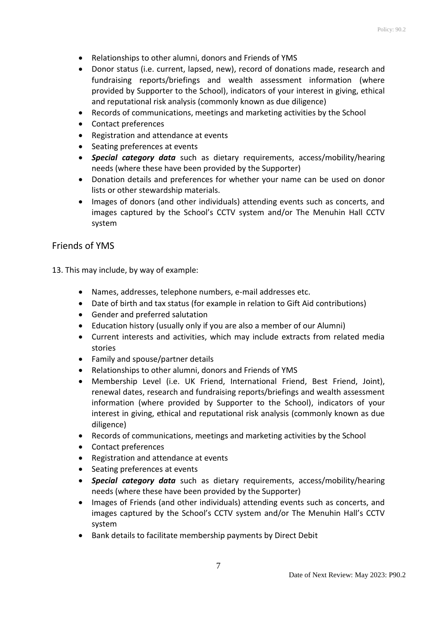- Relationships to other alumni, donors and Friends of YMS
- Donor status (i.e. current, lapsed, new), record of donations made, research and fundraising reports/briefings and wealth assessment information (where provided by Supporter to the School), indicators of your interest in giving, ethical and reputational risk analysis (commonly known as due diligence)
- Records of communications, meetings and marketing activities by the School
- Contact preferences
- Registration and attendance at events
- Seating preferences at events
- *Special category data* such as dietary requirements, access/mobility/hearing needs (where these have been provided by the Supporter)
- Donation details and preferences for whether your name can be used on donor lists or other stewardship materials.
- Images of donors (and other individuals) attending events such as concerts, and images captured by the School's CCTV system and/or The Menuhin Hall CCTV system

#### <span id="page-6-0"></span>Friends of YMS

13. This may include, by way of example:

- Names, addresses, telephone numbers, e-mail addresses etc.
- Date of birth and tax status (for example in relation to Gift Aid contributions)
- Gender and preferred salutation
- Education history (usually only if you are also a member of our Alumni)
- Current interests and activities, which may include extracts from related media stories
- Family and spouse/partner details
- Relationships to other alumni, donors and Friends of YMS
- Membership Level (i.e. UK Friend, International Friend, Best Friend, Joint), renewal dates, research and fundraising reports/briefings and wealth assessment information (where provided by Supporter to the School), indicators of your interest in giving, ethical and reputational risk analysis (commonly known as due diligence)
- Records of communications, meetings and marketing activities by the School
- Contact preferences
- Registration and attendance at events
- Seating preferences at events
- *Special category data* such as dietary requirements, access/mobility/hearing needs (where these have been provided by the Supporter)
- Images of Friends (and other individuals) attending events such as concerts, and images captured by the School's CCTV system and/or The Menuhin Hall's CCTV system
- Bank details to facilitate membership payments by Direct Debit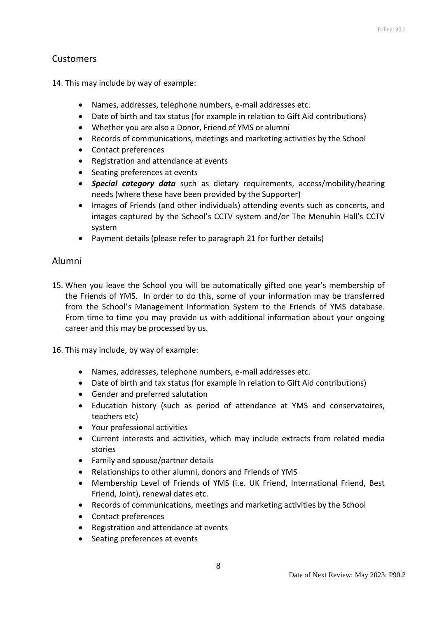## <span id="page-7-0"></span>**Customers**

14. This may include by way of example:

- Names, addresses, telephone numbers, e-mail addresses etc.
- Date of birth and tax status (for example in relation to Gift Aid contributions)
- Whether you are also a Donor, Friend of YMS or alumni
- Records of communications, meetings and marketing activities by the School
- Contact preferences
- Registration and attendance at events
- Seating preferences at events
- *Special category data* such as dietary requirements, access/mobility/hearing needs (where these have been provided by the Supporter)
- Images of Friends (and other individuals) attending events such as concerts, and images captured by the School's CCTV system and/or The Menuhin Hall's CCTV system
- Payment details (please refer to paragraph 21 for further details)

#### <span id="page-7-1"></span>Alumni

- 15. When you leave the School you will be automatically gifted one year's membership of the Friends of YMS. In order to do this, some of your information may be transferred from the School's Management Information System to the Friends of YMS database. From time to time you may provide us with additional information about your ongoing career and this may be processed by us.
- 16. This may include, by way of example:
	- Names, addresses, telephone numbers, e-mail addresses etc.
	- Date of birth and tax status (for example in relation to Gift Aid contributions)
	- Gender and preferred salutation
	- Education history (such as period of attendance at YMS and conservatoires, teachers etc)
	- Your professional activities
	- Current interests and activities, which may include extracts from related media stories
	- Family and spouse/partner details
	- Relationships to other alumni, donors and Friends of YMS
	- Membership Level of Friends of YMS (i.e. UK Friend, International Friend, Best Friend, Joint), renewal dates etc.
	- Records of communications, meetings and marketing activities by the School
	- Contact preferences
	- Registration and attendance at events
	- Seating preferences at events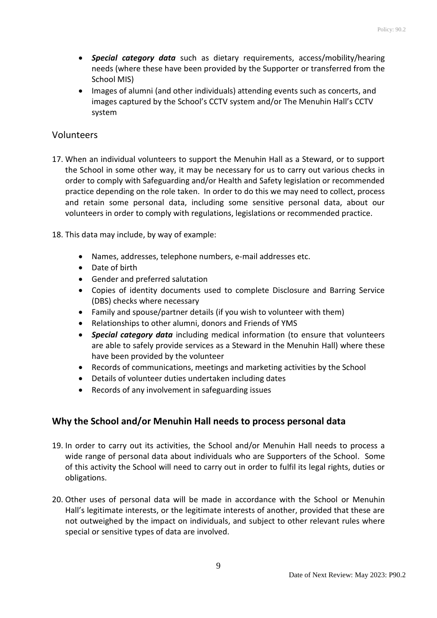- *Special category data* such as dietary requirements, access/mobility/hearing needs (where these have been provided by the Supporter or transferred from the School MIS)
- Images of alumni (and other individuals) attending events such as concerts, and images captured by the School's CCTV system and/or The Menuhin Hall's CCTV system

## <span id="page-8-0"></span>Volunteers

- 17. When an individual volunteers to support the Menuhin Hall as a Steward, or to support the School in some other way, it may be necessary for us to carry out various checks in order to comply with Safeguarding and/or Health and Safety legislation or recommended practice depending on the role taken. In order to do this we may need to collect, process and retain some personal data, including some sensitive personal data, about our volunteers in order to comply with regulations, legislations or recommended practice.
- 18. This data may include, by way of example:
	- Names, addresses, telephone numbers, e-mail addresses etc.
	- Date of birth
	- Gender and preferred salutation
	- Copies of identity documents used to complete Disclosure and Barring Service (DBS) checks where necessary
	- Family and spouse/partner details (if you wish to volunteer with them)
	- Relationships to other alumni, donors and Friends of YMS
	- *Special category data* including medical information (to ensure that volunteers are able to safely provide services as a Steward in the Menuhin Hall) where these have been provided by the volunteer
	- Records of communications, meetings and marketing activities by the School
	- Details of volunteer duties undertaken including dates
	- Records of any involvement in safeguarding issues

## <span id="page-8-1"></span>**Why the School and/or Menuhin Hall needs to process personal data**

- 19. In order to carry out its activities, the School and/or Menuhin Hall needs to process a wide range of personal data about individuals who are Supporters of the School. Some of this activity the School will need to carry out in order to fulfil its legal rights, duties or obligations.
- 20. Other uses of personal data will be made in accordance with the School or Menuhin Hall's legitimate interests, or the legitimate interests of another, provided that these are not outweighed by the impact on individuals, and subject to other relevant rules where special or sensitive types of data are involved.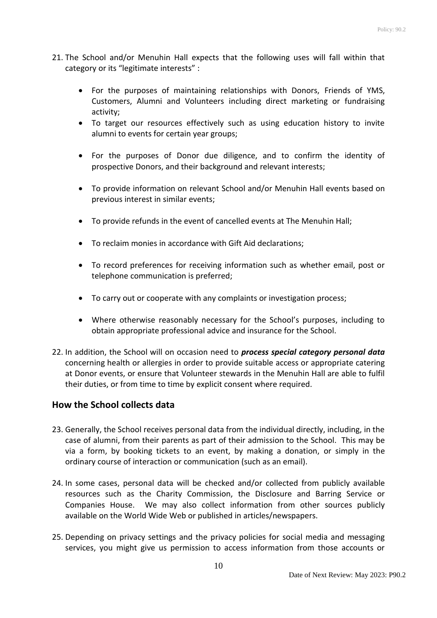- 21. The School and/or Menuhin Hall expects that the following uses will fall within that category or its "legitimate interests" :
	- For the purposes of maintaining relationships with Donors, Friends of YMS, Customers, Alumni and Volunteers including direct marketing or fundraising activity;
	- To target our resources effectively such as using education history to invite alumni to events for certain year groups;
	- For the purposes of Donor due diligence, and to confirm the identity of prospective Donors, and their background and relevant interests;
	- To provide information on relevant School and/or Menuhin Hall events based on previous interest in similar events;
	- To provide refunds in the event of cancelled events at The Menuhin Hall;
	- To reclaim monies in accordance with Gift Aid declarations;
	- To record preferences for receiving information such as whether email, post or telephone communication is preferred;
	- To carry out or cooperate with any complaints or investigation process;
	- Where otherwise reasonably necessary for the School's purposes, including to obtain appropriate professional advice and insurance for the School.
- 22. In addition, the School will on occasion need to *process special category personal data* concerning health or allergies in order to provide suitable access or appropriate catering at Donor events, or ensure that Volunteer stewards in the Menuhin Hall are able to fulfil their duties, or from time to time by explicit consent where required.

### <span id="page-9-0"></span>**How the School collects data**

- 23. Generally, the School receives personal data from the individual directly, including, in the case of alumni, from their parents as part of their admission to the School. This may be via a form, by booking tickets to an event, by making a donation, or simply in the ordinary course of interaction or communication (such as an email).
- 24. In some cases, personal data will be checked and/or collected from publicly available resources such as the Charity Commission, the Disclosure and Barring Service or Companies House. We may also collect information from other sources publicly available on the World Wide Web or published in articles/newspapers.
- 25. Depending on privacy settings and the privacy policies for social media and messaging services, you might give us permission to access information from those accounts or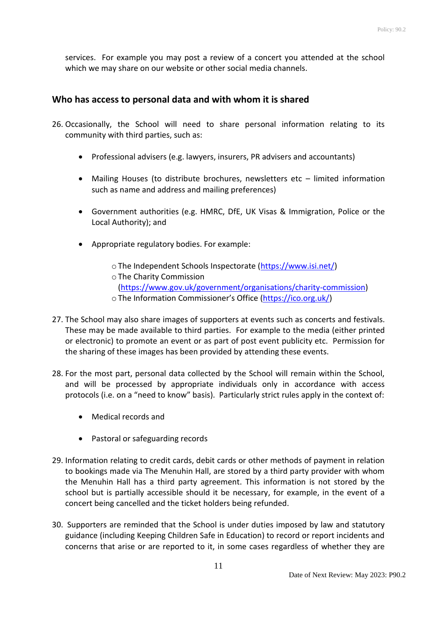services. For example you may post a review of a concert you attended at the school which we may share on our website or other social media channels.

### <span id="page-10-0"></span>**Who has access to personal data and with whom it is shared**

- 26. Occasionally, the School will need to share personal information relating to its community with third parties, such as:
	- Professional advisers (e.g. lawyers, insurers, PR advisers and accountants)
	- Mailing Houses (to distribute brochures, newsletters etc limited information such as name and address and mailing preferences)
	- Government authorities (e.g. HMRC, DfE, UK Visas & Immigration, Police or the Local Authority); and
	- Appropriate regulatory bodies. For example:
		- oThe Independent Schools Inspectorate [\(https://www.isi.net/\)](https://www.isi.net/)
		- oThe Charity Commission

[\(https://www.gov.uk/government/organisations/charity-commission\)](https://www.gov.uk/government/organisations/charity-commission)

- oThe Information Commissioner's Office ([https://ico.org.uk/\)](https://ico.org.uk/)
- 27. The School may also share images of supporters at events such as concerts and festivals. These may be made available to third parties. For example to the media (either printed or electronic) to promote an event or as part of post event publicity etc. Permission for the sharing of these images has been provided by attending these events.
- 28. For the most part, personal data collected by the School will remain within the School, and will be processed by appropriate individuals only in accordance with access protocols (i.e. on a "need to know" basis). Particularly strict rules apply in the context of:
	- Medical records and
	- Pastoral or safeguarding records
- 29. Information relating to credit cards, debit cards or other methods of payment in relation to bookings made via The Menuhin Hall, are stored by a third party provider with whom the Menuhin Hall has a third party agreement. This information is not stored by the school but is partially accessible should it be necessary, for example, in the event of a concert being cancelled and the ticket holders being refunded.
- 30. Supporters are reminded that the School is under duties imposed by law and statutory guidance (including Keeping Children Safe in Education) to record or report incidents and concerns that arise or are reported to it, in some cases regardless of whether they are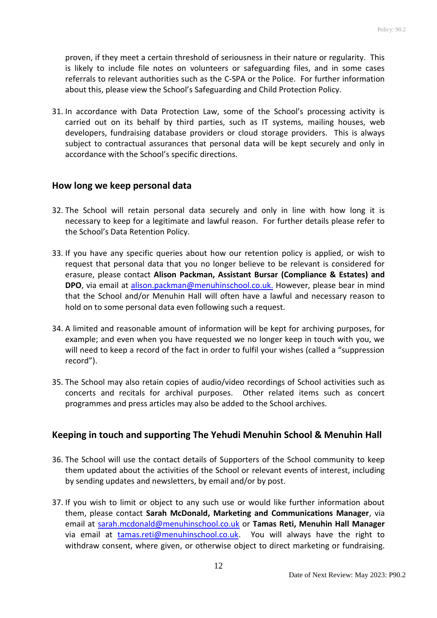proven, if they meet a certain threshold of seriousness in their nature or regularity. This is likely to include file notes on volunteers or safeguarding files, and in some cases referrals to relevant authorities such as the C-SPA or the Police. For further information about this, please view the School's Safeguarding and Child Protection Policy.

31. In accordance with Data Protection Law, some of the School's processing activity is carried out on its behalf by third parties, such as IT systems, mailing houses, web developers, fundraising database providers or cloud storage providers. This is always subject to contractual assurances that personal data will be kept securely and only in accordance with the School's specific directions.

#### <span id="page-11-0"></span>**How long we keep personal data**

- 32. The School will retain personal data securely and only in line with how long it is necessary to keep for a legitimate and lawful reason. For further details please refer to the School's Data Retention Policy.
- 33. If you have any specific queries about how our retention policy is applied, or wish to request that personal data that you no longer believe to be relevant is considered for erasure, please contact **Alison Packman, Assistant Bursar (Compliance & Estates) and DPO**, via email at [alison.packman@menuhinschool.co.uk.](mailto:alison.packman@menuhinschool.co.uk) However, please bear in mind that the School and/or Menuhin Hall will often have a lawful and necessary reason to hold on to some personal data even following such a request.
- 34. A limited and reasonable amount of information will be kept for archiving purposes, for example; and even when you have requested we no longer keep in touch with you, we will need to keep a record of the fact in order to fulfil your wishes (called a "suppression record").
- 35. The School may also retain copies of audio/video recordings of School activities such as concerts and recitals for archival purposes. Other related items such as concert programmes and press articles may also be added to the School archives.

### <span id="page-11-1"></span>**Keeping in touch and supporting The Yehudi Menuhin School & Menuhin Hall**

- 36. The School will use the contact details of Supporters of the School community to keep them updated about the activities of the School or relevant events of interest, including by sending updates and newsletters, by email and/or by post.
- 37. If you wish to limit or object to any such use or would like further information about them, please contact **Sarah McDonald, Marketing and Communications Manager**, via email at [sarah.mcdonald@menuhinschool.co.uk](mailto:sarah.mcdonald@menuhinschool.co.uk) or **Tamas Reti, Menuhin Hall Manager** via email at [tamas.reti@menuhinschool.co.uk.](mailto:tamas.reti@menuhinschool.co.uk) You will always have the right to withdraw consent, where given, or otherwise object to direct marketing or fundraising.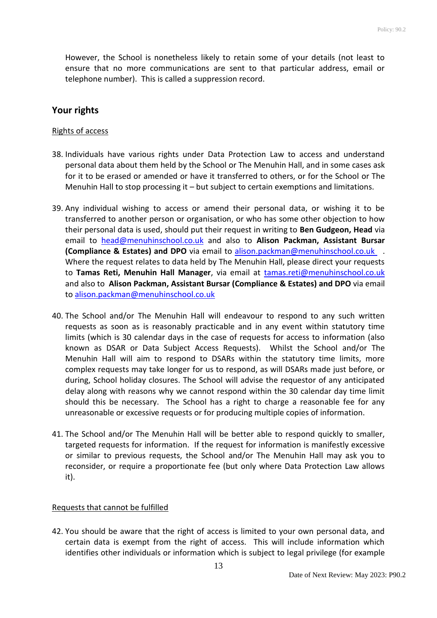However, the School is nonetheless likely to retain some of your details (not least to ensure that no more communications are sent to that particular address, email or telephone number). This is called a suppression record.

## <span id="page-12-0"></span>**Your rights**

#### <span id="page-12-1"></span>Rights of access

- 38. Individuals have various rights under Data Protection Law to access and understand personal data about them held by the School or The Menuhin Hall, and in some cases ask for it to be erased or amended or have it transferred to others, or for the School or The Menuhin Hall to stop processing it – but subject to certain exemptions and limitations.
- 39. Any individual wishing to access or amend their personal data, or wishing it to be transferred to another person or organisation, or who has some other objection to how their personal data is used, should put their request in writing to **Ben Gudgeon, Head** via email to [head@menuhinschool.co.uk](mailto:head@menuhinschool.co.uk) and also to **Alison Packman, Assistant Bursar (Compliance & Estates) and DPO** via email to [alison.packman@menuhinschool.co.uk](mailto:alison.packman@menuhinschool.co.uk) . Where the request relates to data held by The Menuhin Hall, please direct your requests to **Tamas Reti, Menuhin Hall Manager**, via email at [tamas.reti@menuhinschool.co.uk](mailto:tamas.reti@menuhinschool.co.uk) and also to **Alison Packman, Assistant Bursar (Compliance & Estates) and DPO** via email to [alison.packman@menuhinschool.co.uk](mailto:alison.packman@menuhinschool.co.uk)
- 40. The School and/or The Menuhin Hall will endeavour to respond to any such written requests as soon as is reasonably practicable and in any event within statutory time limits (which is 30 calendar days in the case of requests for access to information (also known as DSAR or Data Subject Access Requests). Whilst the School and/or The Menuhin Hall will aim to respond to DSARs within the statutory time limits, more complex requests may take longer for us to respond, as will DSARs made just before, or during, School holiday closures. The School will advise the requestor of any anticipated delay along with reasons why we cannot respond within the 30 calendar day time limit should this be necessary. The School has a right to charge a reasonable fee for any unreasonable or excessive requests or for producing multiple copies of information.
- 41. The School and/or The Menuhin Hall will be better able to respond quickly to smaller, targeted requests for information. If the request for information is manifestly excessive or similar to previous requests, the School and/or The Menuhin Hall may ask you to reconsider, or require a proportionate fee (but only where Data Protection Law allows it).

#### <span id="page-12-2"></span>Requests that cannot be fulfilled

42. You should be aware that the right of access is limited to your own personal data, and certain data is exempt from the right of access. This will include information which identifies other individuals or information which is subject to legal privilege (for example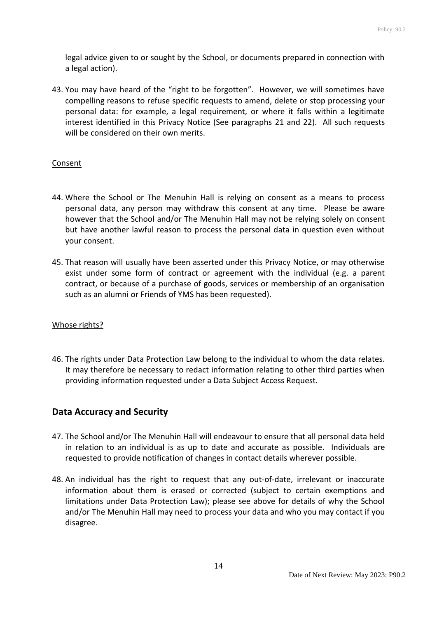legal advice given to or sought by the School, or documents prepared in connection with a legal action).

43. You may have heard of the "right to be forgotten". However, we will sometimes have compelling reasons to refuse specific requests to amend, delete or stop processing your personal data: for example, a legal requirement, or where it falls within a legitimate interest identified in this Privacy Notice (See paragraphs 21 and 22). All such requests will be considered on their own merits.

#### <span id="page-13-0"></span>**Consent**

- 44. Where the School or The Menuhin Hall is relying on consent as a means to process personal data, any person may withdraw this consent at any time. Please be aware however that the School and/or The Menuhin Hall may not be relying solely on consent but have another lawful reason to process the personal data in question even without your consent.
- 45. That reason will usually have been asserted under this Privacy Notice, or may otherwise exist under some form of contract or agreement with the individual (e.g. a parent contract, or because of a purchase of goods, services or membership of an organisation such as an alumni or Friends of YMS has been requested).

#### <span id="page-13-1"></span>Whose rights?

46. The rights under Data Protection Law belong to the individual to whom the data relates. It may therefore be necessary to redact information relating to other third parties when providing information requested under a Data Subject Access Request.

### <span id="page-13-2"></span>**Data Accuracy and Security**

- 47. The School and/or The Menuhin Hall will endeavour to ensure that all personal data held in relation to an individual is as up to date and accurate as possible. Individuals are requested to provide notification of changes in contact details wherever possible.
- 48. An individual has the right to request that any out-of-date, irrelevant or inaccurate information about them is erased or corrected (subject to certain exemptions and limitations under Data Protection Law); please see above for details of why the School and/or The Menuhin Hall may need to process your data and who you may contact if you disagree.